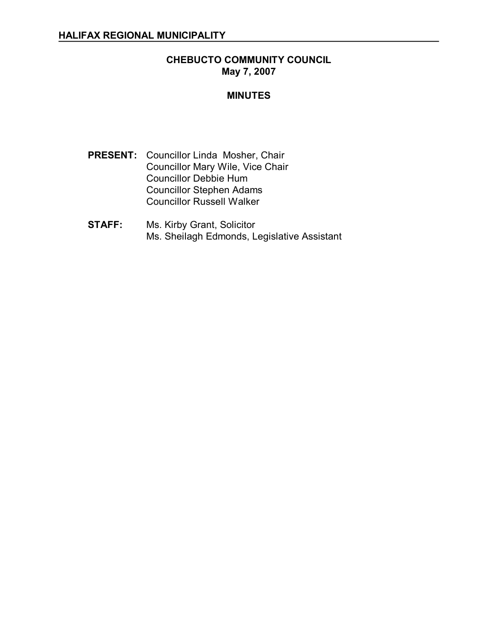# **CHEBUCTO COMMUNITY COUNCIL May 7, 2007**

## **MINUTES**

- **PRESENT:** Councillor Linda Mosher, Chair Councillor Mary Wile, Vice Chair Councillor Debbie Hum Councillor Stephen Adams Councillor Russell Walker
- **STAFF:** Ms. Kirby Grant, Solicitor Ms. Sheilagh Edmonds, Legislative Assistant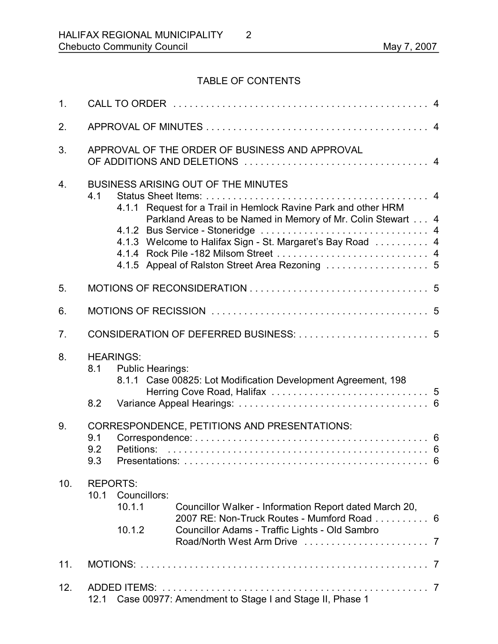# TABLE OF CONTENTS

| 1 <sub>1</sub> |                                                                |                                              |                                                                                                                                                                                                                                                                                              |  |
|----------------|----------------------------------------------------------------|----------------------------------------------|----------------------------------------------------------------------------------------------------------------------------------------------------------------------------------------------------------------------------------------------------------------------------------------------|--|
| 2.             |                                                                |                                              |                                                                                                                                                                                                                                                                                              |  |
| 3.             | APPROVAL OF THE ORDER OF BUSINESS AND APPROVAL                 |                                              |                                                                                                                                                                                                                                                                                              |  |
| 4.             | 4.1                                                            |                                              | <b>BUSINESS ARISING OUT OF THE MINUTES</b><br>4.1.1 Request for a Trail in Hemlock Ravine Park and other HRM<br>Parkland Areas to be Named in Memory of Mr. Colin Stewart 4<br>4.1.3 Welcome to Halifax Sign - St. Margaret's Bay Road  4<br>4.1.5 Appeal of Ralston Street Area Rezoning  5 |  |
| 5.             |                                                                |                                              |                                                                                                                                                                                                                                                                                              |  |
| 6.             |                                                                |                                              |                                                                                                                                                                                                                                                                                              |  |
| 7.             |                                                                |                                              |                                                                                                                                                                                                                                                                                              |  |
| 8.             | 8.1<br>8.2                                                     | <b>HEARINGS:</b><br><b>Public Hearings:</b>  | 8.1.1 Case 00825: Lot Modification Development Agreement, 198                                                                                                                                                                                                                                |  |
| 9.             | 9.1<br>9.2<br>9.3                                              | CORRESPONDENCE, PETITIONS AND PRESENTATIONS: |                                                                                                                                                                                                                                                                                              |  |
| 10.            | <b>REPORTS:</b><br>10.1                                        | Councillors:<br>10.1.1<br>10.1.2             | Councillor Walker - Information Report dated March 20,<br>2007 RE: Non-Truck Routes - Mumford Road 6<br>Councillor Adams - Traffic Lights - Old Sambro                                                                                                                                       |  |
| 11.            |                                                                |                                              |                                                                                                                                                                                                                                                                                              |  |
| 12.            | Case 00977: Amendment to Stage I and Stage II, Phase 1<br>12.1 |                                              |                                                                                                                                                                                                                                                                                              |  |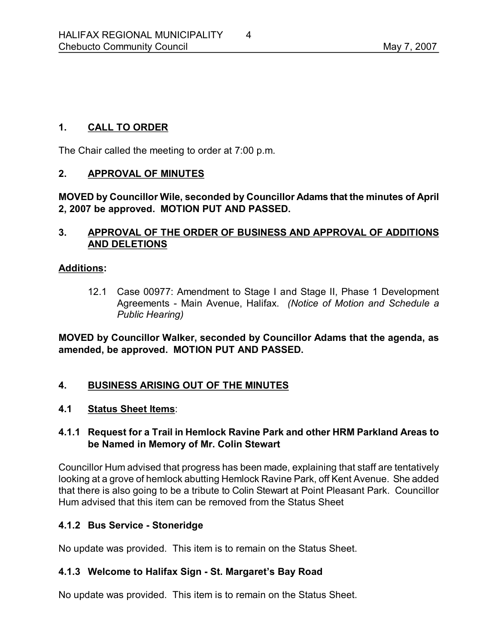# **1. CALL TO ORDER**

The Chair called the meeting to order at 7:00 p.m.

#### **2. APPROVAL OF MINUTES**

**MOVED by Councillor Wile, seconded by Councillor Adams that the minutes of April 2, 2007 be approved. MOTION PUT AND PASSED.** 

#### **3. APPROVAL OF THE ORDER OF BUSINESS AND APPROVAL OF ADDITIONS AND DELETIONS**

#### **Additions:**

12.1 Case 00977: Amendment to Stage I and Stage II, Phase 1 Development Agreements Main Avenue, Halifax. *(Notice of Motion and Schedule a Public Hearing)*

**MOVED by Councillor Walker, seconded by Councillor Adams that the agenda, as amended, be approved. MOTION PUT AND PASSED.** 

#### **4. BUSINESS ARISING OUT OF THE MINUTES**

#### **4.1 Status Sheet Items**:

#### **4.1.1 Request for a Trail in Hemlock Ravine Park and other HRM Parkland Areas to be Named in Memory of Mr. Colin Stewart**

Councillor Hum advised that progress has been made, explaining that staff are tentatively looking at a grove of hemlock abutting Hemlock Ravine Park, off Kent Avenue. She added that there is also going to be a tribute to Colin Stewart at Point Pleasant Park. Councillor Hum advised that this item can be removed from the Status Sheet

#### **4.1.2 Bus Service Stoneridge**

No update was provided. This item is to remain on the Status Sheet.

#### 4.1.3 Welcome to Halifax Sign - St. Margaret's Bay Road

No update was provided. This item is to remain on the Status Sheet.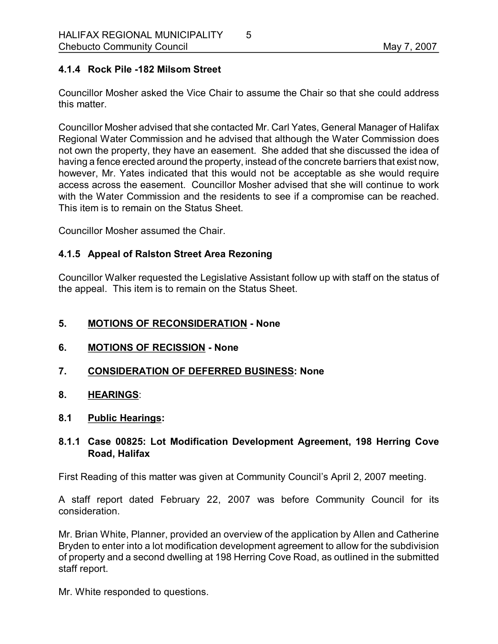# **4.1.4 Rock Pile 182 Milsom Street**

Councillor Mosher asked the Vice Chair to assume the Chair so that she could address this matter.

Councillor Mosher advised that she contacted Mr. Carl Yates, General Manager of Halifax Regional Water Commission and he advised that although the Water Commission does not own the property, they have an easement. She added that she discussed the idea of having a fence erected around the property, instead of the concrete barriers that exist now, however, Mr. Yates indicated that this would not be acceptable as she would require access across the easement. Councillor Mosher advised that she will continue to work with the Water Commission and the residents to see if a compromise can be reached. This item is to remain on the Status Sheet.

Councillor Mosher assumed the Chair.

#### **4.1.5 Appeal of Ralston Street Area Rezoning**

Councillor Walker requested the Legislative Assistant follow up with staff on the status of the appeal. This item is to remain on the Status Sheet.

#### **5. MOTIONS OF RECONSIDERATION None**

- **6. MOTIONS OF RECISSION None**
- **7. CONSIDERATION OF DEFERRED BUSINESS: None**
- **8. HEARINGS**:
- **8.1 Public Hearings:**

#### **8.1.1 Case 00825: Lot Modification Development Agreement, 198 Herring Cove Road, Halifax**

First Reading of this matter was given at Community Council's April 2, 2007 meeting.

A staff report dated February 22, 2007 was before Community Council for its consideration.

Mr. Brian White, Planner, provided an overview of the application by Allen and Catherine Bryden to enter into a lot modification development agreement to allow for the subdivision of property and a second dwelling at 198 Herring Cove Road, as outlined in the submitted staff report.

Mr. White responded to questions.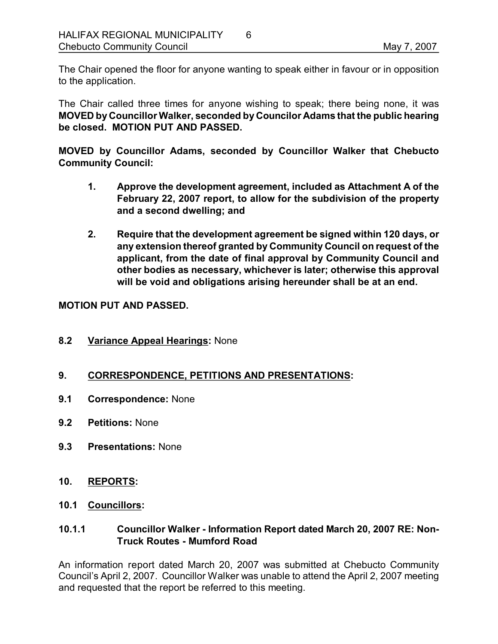The Chair opened the floor for anyone wanting to speak either in favour or in opposition to the application.

The Chair called three times for anyone wishing to speak; there being none, it was **MOVED by Councillor Walker, seconded by Councilor Adams that the public hearing be closed. MOTION PUT AND PASSED.** 

**MOVED by Councillor Adams, seconded by Councillor Walker that Chebucto Community Council:**

- **1. Approve the development agreement, included as Attachment A ofthe February 22, 2007 report, to allow for the subdivision of the property and a second dwelling; and**
- **2. Require that the development agreement be signed within 120 days, or any extension thereof granted by Community Council on request of the applicant, from the date of final approval by Community Council and other bodies as necessary, whichever is later; otherwise this approval will be void and obligations arising hereunder shall be at an end.**

#### **MOTION PUT AND PASSED.**

**8.2 Variance Appeal Hearings:** None

# **9. CORRESPONDENCE, PETITIONS AND PRESENTATIONS:**

- **9.1 Correspondence:** None
- **9.2 Petitions:** None
- **9.3 Presentations:** None
- **10. REPORTS:**
- **10.1 Councillors:**

# **10.1.1 Councillor Walker Information Report dated March 20, 2007 RE: Non Truck Routes - Mumford Road**

An information report dated March 20, 2007 was submitted at Chebucto Community Council's April 2, 2007. Councillor Walker was unable to attend the April 2, 2007 meeting and requested that the report be referred to this meeting.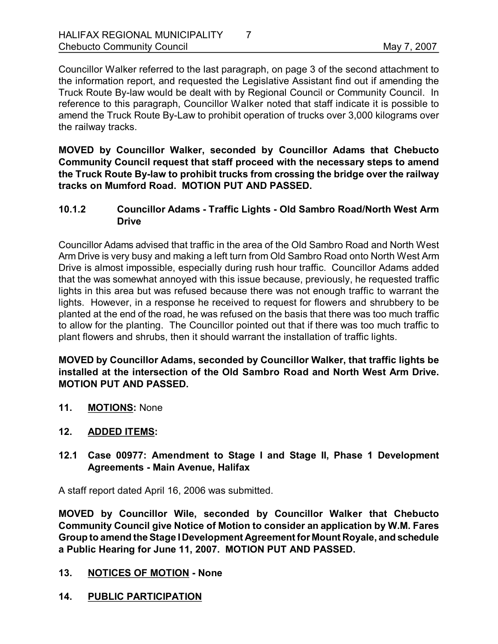Councillor Walker referred to the last paragraph, on page 3 of the second attachment to the information report, and requested the Legislative Assistant find out if amending the Truck Route By-law would be dealt with by Regional Council or Community Council. In reference to this paragraph, Councillor Walker noted that staff indicate it is possible to amend the Truck Route By-Law to prohibit operation of trucks over 3,000 kilograms over the railway tracks.

**MOVED by Councillor Walker, seconded by Councillor Adams that Chebucto Community Council request that staff proceed with the necessary steps to amend the Truck Route Bylaw to prohibit trucks from crossing the bridge over the railway tracks on Mumford Road. MOTION PUT AND PASSED.** 

## **10.1.2 Councillor Adams Traffic Lights Old Sambro Road/North West Arm Drive**

Councillor Adams advised that traffic in the area of the Old Sambro Road and North West Arm Drive is very busy and making a left turn from Old Sambro Road onto North West Arm Drive is almost impossible, especially during rush hour traffic. Councillor Adams added that the was somewhat annoyed with this issue because, previously, he requested traffic lights in this area but was refused because there was not enough traffic to warrant the lights. However, in a response he received to request for flowers and shrubbery to be planted at the end of the road, he was refused on the basis that there was too much traffic to allow for the planting. The Councillor pointed out that if there was too much traffic to plant flowers and shrubs, then it should warrant the installation of traffic lights.

**MOVED by Councillor Adams, seconded by Councillor Walker, that traffic lights be installed at the intersection of the Old Sambro Road and North West Arm Drive. MOTION PUT AND PASSED.** 

- **11. MOTIONS:** None
- **12. ADDED ITEMS:**
- **12.1 Case 00977: Amendment to Stage I and Stage II, Phase 1 Development Agreements - Main Avenue, Halifax**

A staff report dated April 16, 2006 was submitted.

**MOVED by Councillor Wile, seconded by Councillor Walker that Chebucto Community Council give Notice of Motion to consider an application by W.M. Fares Group to amend the Stage IDevelopment Agreement for Mount Royale, and schedule a Public Hearing for June 11, 2007. MOTION PUT AND PASSED.** 

#### 13. NOTICES OF MOTION - None

**14. PUBLIC PARTICIPATION**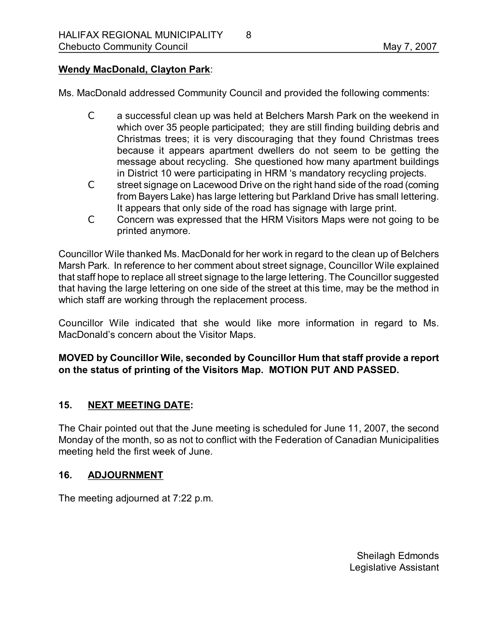#### **Wendy MacDonald, Clayton Park**:

Ms. MacDonald addressed Community Council and provided the following comments:

- C a successful clean up was held at Belchers Marsh Park on the weekend in which over 35 people participated; they are still finding building debris and Christmas trees; it is very discouraging that they found Christmas trees because it appears apartment dwellers do not seem to be getting the message about recycling. She questioned how many apartment buildings in District 10 were participating in HRM 's mandatory recycling projects.
- C street signage on Lacewood Drive on the right hand side of the road (coming from Bayers Lake) has large lettering but Parkland Drive has small lettering. It appears that only side of the road has signage with large print.
- C Concern was expressed that the HRM Visitors Maps were not going to be printed anymore.

Councillor Wile thanked Ms. MacDonald for her work in regard to the clean up of Belchers Marsh Park. In reference to her comment about street signage, Councillor Wile explained that staff hope to replace all street signage to the large lettering. The Councillor suggested that having the large lettering on one side of the street at this time, may be the method in which staff are working through the replacement process.

Councillor Wile indicated that she would like more information in regard to Ms. MacDonald's concern about the Visitor Maps.

# **MOVED by Councillor Wile, seconded by Councillor Hum that staff provide a report on the status of printing of the Visitors Map. MOTION PUT AND PASSED.**

#### **15. NEXT MEETING DATE:**

The Chair pointed out that the June meeting is scheduled for June 11, 2007, the second Monday of the month, so as not to conflict with the Federation of Canadian Municipalities meeting held the first week of June.

#### **16. ADJOURNMENT**

The meeting adjourned at 7:22 p.m.

Sheilagh Edmonds Legislative Assistant